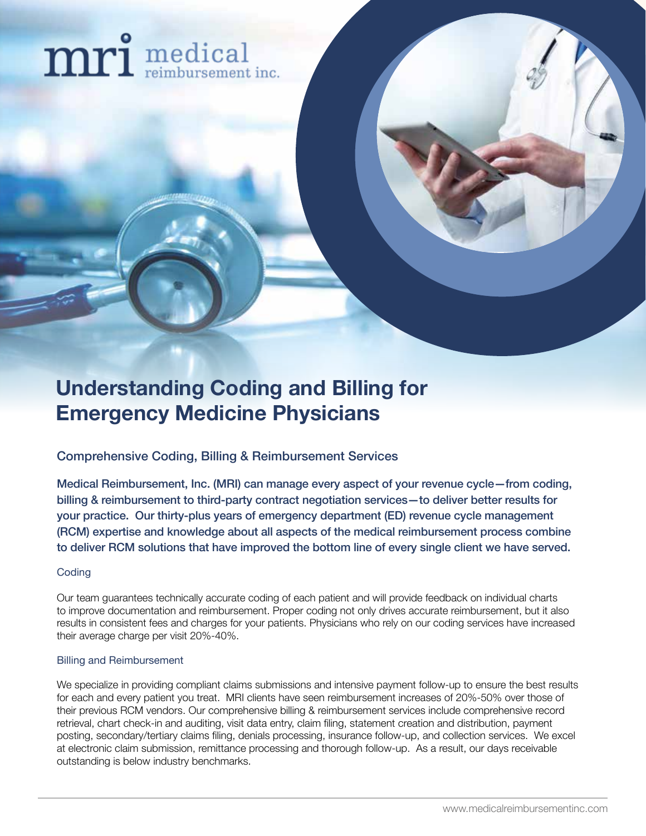# mri medical

## **Understanding Coding and Billing for Emergency Medicine Physicians**

Comprehensive Coding, Billing & Reimbursement Services

Medical Reimbursement, Inc. (MRI) can manage every aspect of your revenue cycle—from coding, billing & reimbursement to third-party contract negotiation services—to deliver better results for your practice. Our thirty-plus years of emergency department (ED) revenue cycle management (RCM) expertise and knowledge about all aspects of the medical reimbursement process combine to deliver RCM solutions that have improved the bottom line of every single client we have served.

#### **Coding**

Our team guarantees technically accurate coding of each patient and will provide feedback on individual charts to improve documentation and reimbursement. Proper coding not only drives accurate reimbursement, but it also results in consistent fees and charges for your patients. Physicians who rely on our coding services have increased their average charge per visit 20%-40%.

#### Billing and Reimbursement

We specialize in providing compliant claims submissions and intensive payment follow-up to ensure the best results for each and every patient you treat. MRI clients have seen reimbursement increases of 20%-50% over those of their previous RCM vendors. Our comprehensive billing & reimbursement services include comprehensive record retrieval, chart check-in and auditing, visit data entry, claim filing, statement creation and distribution, payment posting, secondary/tertiary claims filing, denials processing, insurance follow-up, and collection services. We excel at electronic claim submission, remittance processing and thorough follow-up. As a result, our days receivable outstanding is below industry benchmarks.